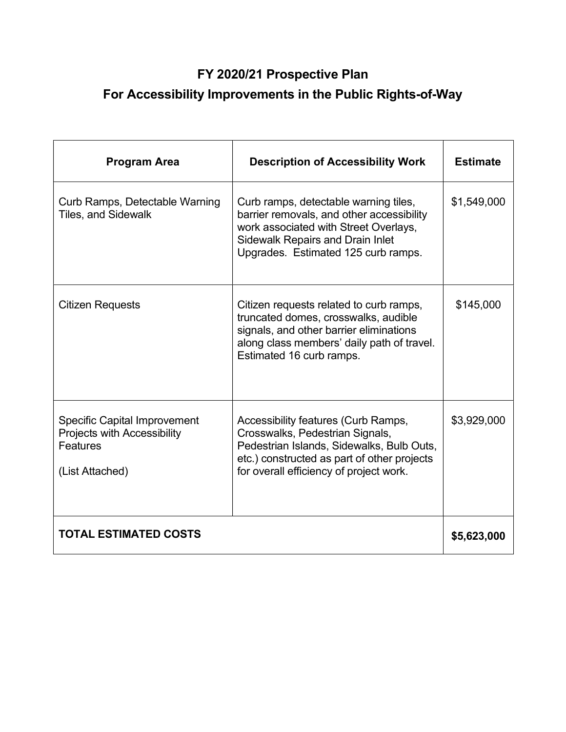## FY 2020/21 Prospective Plan

## For Accessibility Improvements in the Public Rights-of-Way

| <b>Program Area</b>                                                                               | <b>Description of Accessibility Work</b>                                                                                                                                                                      | <b>Estimate</b> |
|---------------------------------------------------------------------------------------------------|---------------------------------------------------------------------------------------------------------------------------------------------------------------------------------------------------------------|-----------------|
| Curb Ramps, Detectable Warning<br><b>Tiles, and Sidewalk</b>                                      | Curb ramps, detectable warning tiles,<br>barrier removals, and other accessibility<br>work associated with Street Overlays,<br><b>Sidewalk Repairs and Drain Inlet</b><br>Upgrades. Estimated 125 curb ramps. | \$1,549,000     |
| <b>Citizen Requests</b>                                                                           | Citizen requests related to curb ramps,<br>truncated domes, crosswalks, audible<br>signals, and other barrier eliminations<br>along class members' daily path of travel.<br>Estimated 16 curb ramps.          | \$145,000       |
| <b>Specific Capital Improvement</b><br>Projects with Accessibility<br>Features<br>(List Attached) | Accessibility features (Curb Ramps,<br>Crosswalks, Pedestrian Signals,<br>Pedestrian Islands, Sidewalks, Bulb Outs,<br>etc.) constructed as part of other projects<br>for overall efficiency of project work. | \$3,929,000     |
| <b>TOTAL ESTIMATED COSTS</b>                                                                      |                                                                                                                                                                                                               |                 |